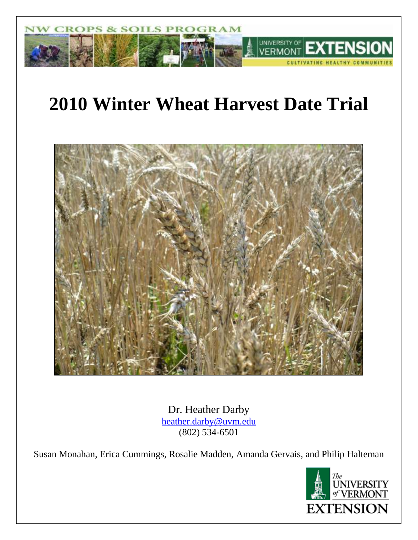

# **2010 Winter Wheat Harvest Date Trial**



Dr. Heather Darby [heather.darby@uvm.edu](mailto:heather.darby@uvm.edu) (802) 534-6501

Susan Monahan, Erica Cummings, Rosalie Madden, Amanda Gervais, and Philip Halteman

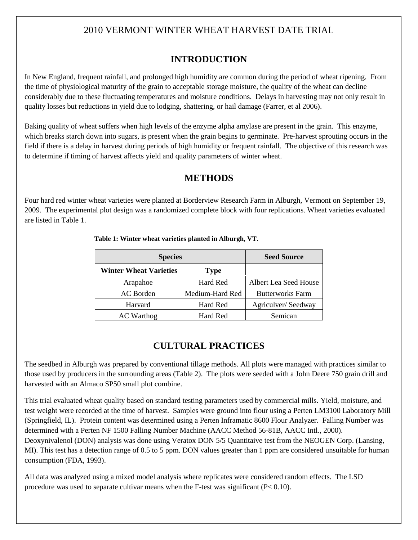# 2010 VERMONT WINTER WHEAT HARVEST DATE TRIAL

# **INTRODUCTION**

In New England, frequent rainfall, and prolonged high humidity are common during the period of wheat ripening. From the time of physiological maturity of the grain to acceptable storage moisture, the quality of the wheat can decline considerably due to these fluctuating temperatures and moisture conditions. Delays in harvesting may not only result in quality losses but reductions in yield due to lodging, shattering, or hail damage (Farrer, et al 2006).

Baking quality of wheat suffers when high levels of the enzyme alpha amylase are present in the grain. This enzyme, which breaks starch down into sugars, is present when the grain begins to germinate. Pre-harvest sprouting occurs in the field if there is a delay in harvest during periods of high humidity or frequent rainfall. The objective of this research was to determine if timing of harvest affects yield and quality parameters of winter wheat.

### **METHODS**

Four hard red winter wheat varieties were planted at Borderview Research Farm in Alburgh, Vermont on September 19, 2009. The experimental plot design was a randomized complete block with four replications. Wheat varieties evaluated are listed in Table 1.

| <b>Species</b>                        | <b>Seed Source</b> |                         |
|---------------------------------------|--------------------|-------------------------|
| <b>Winter Wheat Varieties</b><br>Type |                    |                         |
| Arapahoe                              | Hard Red           | Albert Lea Seed House   |
| Medium-Hard Red<br>AC Borden          |                    | <b>Butterworks Farm</b> |
| Harvard                               | Hard Red           | Agriculver/Seedway      |
| <b>AC</b> Warthog                     | Hard Red           | Semican                 |

#### **Table 1: Winter wheat varieties planted in Alburgh, VT.**

### **CULTURAL PRACTICES**

The seedbed in Alburgh was prepared by conventional tillage methods. All plots were managed with practices similar to those used by producers in the surrounding areas (Table 2). The plots were seeded with a John Deere 750 grain drill and harvested with an Almaco SP50 small plot combine.

This trial evaluated wheat quality based on standard testing parameters used by commercial mills. Yield, moisture, and test weight were recorded at the time of harvest. Samples were ground into flour using a Perten LM3100 Laboratory Mill (Springfield, IL). Protein content was determined using a Perten Inframatic 8600 Flour Analyzer. Falling Number was determined with a Perten NF 1500 Falling Number Machine (AACC Method 56-81B, AACC Intl., 2000). Deoxynivalenol (DON) analysis was done using Veratox DON 5/5 Quantitaive test from the NEOGEN Corp. (Lansing, MI). This test has a detection range of 0.5 to 5 ppm. DON values greater than 1 ppm are considered unsuitable for human consumption (FDA, 1993).

All data was analyzed using a mixed model analysis where replicates were considered random effects. The LSD procedure was used to separate cultivar means when the F-test was significant  $(P< 0.10)$ .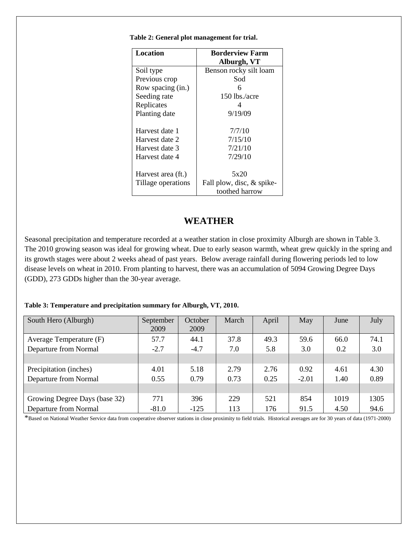| <b>Location</b>    | <b>Borderview Farm</b>    |
|--------------------|---------------------------|
|                    | Alburgh, VT               |
| Soil type          | Benson rocky silt loam    |
| Previous crop      | Sod                       |
| Row spacing (in.)  | 6                         |
| Seeding rate       | $150$ lbs./acre           |
| Replicates         |                           |
| Planting date      | 9/19/09                   |
|                    |                           |
| Harvest date 1     | 7/7/10                    |
| Harvest date 2     | 7/15/10                   |
| Harvest date 3     | 7/21/10                   |
| Harvest date 4     | 7/29/10                   |
|                    |                           |
| Harvest area (ft.) | 5x20                      |
| Tillage operations | Fall plow, disc, & spike- |
|                    | toothed harrow            |

 **Table 2: General plot management for trial.**

### **WEATHER**

Seasonal precipitation and temperature recorded at a weather station in close proximity Alburgh are shown in Table 3. The 2010 growing season was ideal for growing wheat. Due to early season warmth, wheat grew quickly in the spring and its growth stages were about 2 weeks ahead of past years. Below average rainfall during flowering periods led to low disease levels on wheat in 2010. From planting to harvest, there was an accumulation of 5094 Growing Degree Days (GDD), 273 GDDs higher than the 30-year average.

#### **Table 3: Temperature and precipitation summary for Alburgh, VT, 2010.**

| South Hero (Alburgh)          | September | October | March | April | May     | June | July |
|-------------------------------|-----------|---------|-------|-------|---------|------|------|
|                               | 2009      | 2009    |       |       |         |      |      |
| Average Temperature (F)       | 57.7      | 44.1    | 37.8  | 49.3  | 59.6    | 66.0 | 74.1 |
| Departure from Normal         | $-2.7$    | $-4.7$  | 7.0   | 5.8   | 3.0     | 0.2  | 3.0  |
|                               |           |         |       |       |         |      |      |
| Precipitation (inches)        | 4.01      | 5.18    | 2.79  | 2.76  | 0.92    | 4.61 | 4.30 |
| Departure from Normal         | 0.55      | 0.79    | 0.73  | 0.25  | $-2.01$ | 1.40 | 0.89 |
|                               |           |         |       |       |         |      |      |
| Growing Degree Days (base 32) | 771       | 396     | 229   | 521   | 854     | 1019 | 1305 |
| Departure from Normal         | $-81.0$   | $-125$  | 113   | 176   | 91.5    | 4.50 | 94.6 |

\*Based on National Weather Service data from cooperative observer stations in close proximity to field trials. Historical averages are for 30 years of data (1971-2000)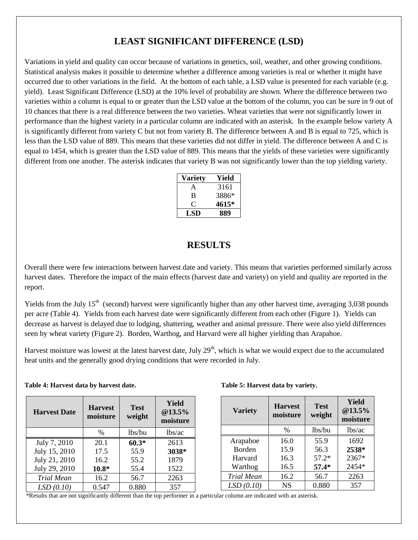# **LEAST SIGNIFICANT DIFFERENCE (LSD)**

Variations in yield and quality can occur because of variations in genetics, soil, weather, and other growing conditions. Statistical analysis makes it possible to determine whether a difference among varieties is real or whether it might have occurred due to other variations in the field. At the bottom of each table, a LSD value is presented for each variable (e.g. yield). Least Significant Difference (LSD) at the 10% level of probability are shown. Where the difference between two varieties within a column is equal to or greater than the LSD value at the bottom of the column, you can be sure in 9 out of 10 chances that there is a real difference between the two varieties. Wheat varieties that were not significantly lower in performance than the highest variety in a particular column are indicated with an asterisk. In the example below variety A is significantly different from variety C but not from variety B. The difference between A and B is equal to 725, which is less than the LSD value of 889. This means that these varieties did not differ in yield. The difference between A and C is equal to 1454, which is greater than the LSD value of 889. This means that the yields of these varieties were significantly different from one another. The asterisk indicates that variety B was not significantly lower than the top yielding variety.

| Variety | Yield |
|---------|-------|
| А       | 3161  |
| B       | 3886* |
|         | 4615* |
| LSD     | 889   |

#### **RESULTS**

Overall there were few interactions between harvest date and variety. This means that varieties performed similarly across harvest dates. Therefore the impact of the main effects (harvest date and variety) on yield and quality are reported in the report.

Yields from the July  $15<sup>th</sup>$  (second) harvest were significantly higher than any other harvest time, averaging 3,038 pounds per acre (Table 4). Yields from each harvest date were significantly different from each other (Figure 1). Yields can decrease as harvest is delayed due to lodging, shattering, weather and animal pressure. There were also yield differences seen by wheat variety (Figure 2). Borden, Warthog, and Harvard were all higher yielding than Arapahoe.

Harvest moisture was lowest at the latest harvest date, July  $29<sup>th</sup>$ , which is what we would expect due to the accumulated heat units and the generally good drying conditions that were recorded in July.

|  |  | Table 4: Harvest data by harvest date. |
|--|--|----------------------------------------|
|  |  |                                        |

| <b>Harvest Date</b> | <b>Harvest</b><br>moisture | <b>Test</b><br>weight | Yield<br>@13.5%<br>moisture |
|---------------------|----------------------------|-----------------------|-----------------------------|
|                     | $\frac{0}{0}$              | lbs/bu                | lbs/ac                      |
| July 7, 2010        | 20.1                       | $60.3*$               | 2613                        |
| July 15, 2010       | 17.5                       | 55.9                  | 3038*                       |
| July 21, 2010       | 16.2                       | 55.2                  | 1879                        |
| July 29, 2010       | $10.8*$                    | 55.4                  | 1522                        |
| <b>Trial Mean</b>   | 16.2                       | 56.7                  | 2263                        |
| LSD(0.10)           | 0.547                      | 0.880                 | 357                         |

#### **Table 5: Harvest data by variety.**

| <b>Variety</b>    | <b>Harvest</b><br>moisture | <b>Test</b><br>weight | Yield<br>@13.5%<br>moisture |
|-------------------|----------------------------|-----------------------|-----------------------------|
|                   | $\%$                       | lbs/bu                | lbs/ac                      |
| Arapahoe          | 16.0                       | 55.9                  | 1692                        |
| Borden            | 15.9                       | 56.3                  | 2538*                       |
| Harvard           | 16.3                       | $57.2*$               | 2367*                       |
| Warthog           | 16.5                       | $57.4*$               | 2454*                       |
| <b>Trial Mean</b> | 16.2                       | 56.7                  | 2263                        |
| LSD(0.10)         | <b>NS</b>                  | 0.880                 | 357                         |

\*Results that are not significantly different than the top performer in a particular column are indicated with an asterisk.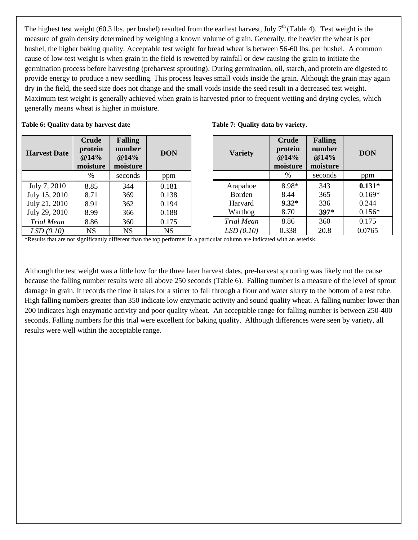The highest test weight (60.3 lbs. per bushel) resulted from the earliest harvest, July  $7<sup>th</sup>$  (Table 4). Test weight is the measure of grain density determined by weighing a known volume of grain. Generally, the heavier the wheat is per bushel, the higher baking quality. Acceptable test weight for bread wheat is between 56-60 lbs. per bushel. A common cause of low-test weight is when grain in the field is rewetted by rainfall or dew causing the grain to initiate the germination process before harvesting (preharvest sprouting). During germination, oil, starch, and protein are digested to provide energy to produce a new seedling. This process leaves small voids inside the grain. Although the grain may again dry in the field, the seed size does not change and the small voids inside the seed result in a decreased test weight. Maximum test weight is generally achieved when grain is harvested prior to frequent wetting and drying cycles, which generally means wheat is higher in moisture.

#### **Table 6: Quality data by harvest date**

| <b>Harvest Date</b> | Crude<br>protein<br>@14%<br>moisture | <b>Falling</b><br>number<br>@14%<br>moisture | <b>DON</b> |
|---------------------|--------------------------------------|----------------------------------------------|------------|
|                     | $\%$                                 | seconds                                      | ppm        |
| July 7, 2010        | 8.85                                 | 344                                          | 0.181      |
| July 15, 2010       | 8.71                                 | 369                                          | 0.138      |
| July 21, 2010       | 8.91                                 | 362                                          | 0.194      |
| July 29, 2010       | 8.99                                 | 366                                          | 0.188      |
| <b>Trial Mean</b>   | 8.86                                 | 360                                          | 0.175      |
| LSD(0.10)           | NS                                   | <b>NS</b>                                    | <b>NS</b>  |

|  | Table 7: Quality data by variety. |
|--|-----------------------------------|
|  |                                   |

| <b>Variety</b> | Crude<br>protein<br>@14%<br>moisture | <b>Falling</b><br>number<br>@14%<br>moisture | <b>DON</b> |
|----------------|--------------------------------------|----------------------------------------------|------------|
|                | $\%$                                 | seconds                                      | ppm        |
| Arapahoe       | 8.98*                                | 343                                          | $0.131*$   |
| Borden         | 8.44                                 | 365                                          | $0.169*$   |
| Harvard        | $9.32*$                              | 336                                          | 0.244      |
| Warthog        | 8.70                                 | 397*                                         | $0.156*$   |
| Trial Mean     | 8.86                                 | 360                                          | 0.175      |
| LSD(0.10)      | 0.338                                | 20.8                                         | 0.0765     |

\*Results that are not significantly different than the top performer in a particular column are indicated with an asterisk.

Although the test weight was a little low for the three later harvest dates, pre-harvest sprouting was likely not the cause because the falling number results were all above 250 seconds (Table 6). Falling number is a measure of the level of sprout damage in grain. It records the time it takes for a stirrer to fall through a flour and water slurry to the bottom of a test tube. High falling numbers greater than 350 indicate low enzymatic activity and sound quality wheat. A falling number lower than 200 indicates high enzymatic activity and poor quality wheat. An acceptable range for falling number is between 250-400 seconds. Falling numbers for this trial were excellent for baking quality. Although differences were seen by variety, all results were well within the acceptable range.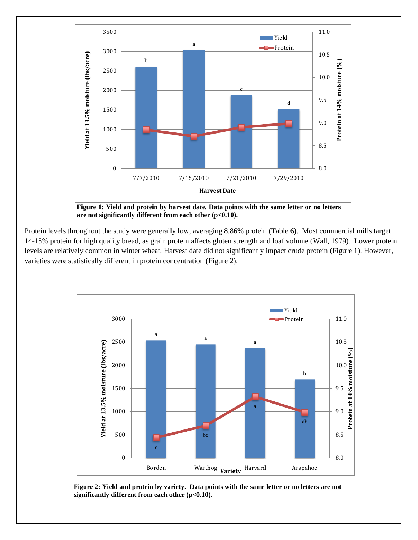

**Figure 1: Yield and protein by harvest date. Data points with the same letter or no letters are not significantly different from each other (p<0.10).**

Protein levels throughout the study were generally low, averaging 8.86% protein (Table 6). Most commercial mills target 14-15% protein for high quality bread, as grain protein affects gluten strength and loaf volume (Wall, 1979). Lower protein levels are relatively common in winter wheat. Harvest date did not significantly impact crude protein (Figure 1). However, varieties were statistically different in protein concentration (Figure 2).